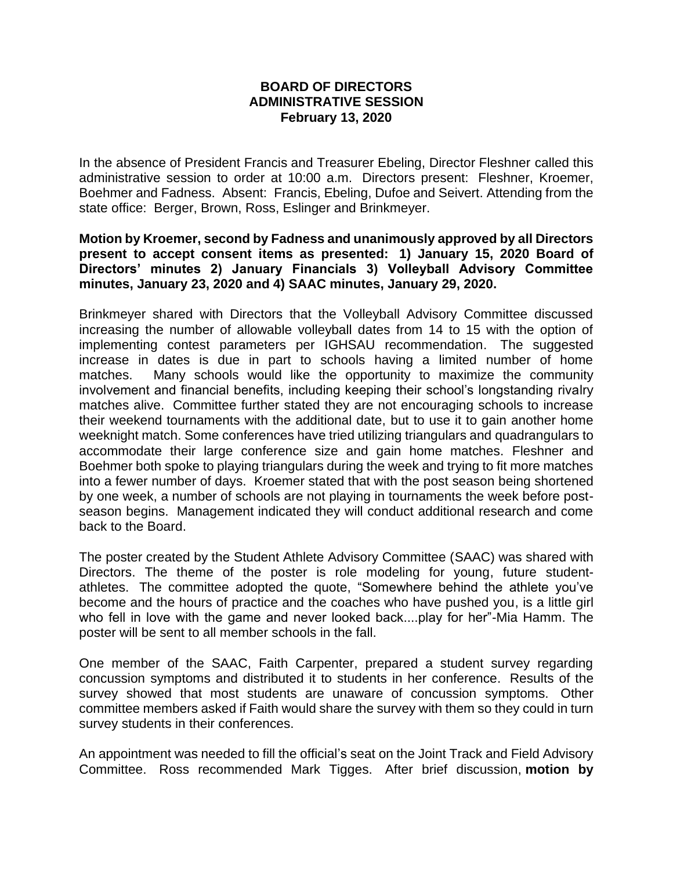## **BOARD OF DIRECTORS ADMINISTRATIVE SESSION February 13, 2020**

In the absence of President Francis and Treasurer Ebeling, Director Fleshner called this administrative session to order at 10:00 a.m. Directors present: Fleshner, Kroemer, Boehmer and Fadness. Absent: Francis, Ebeling, Dufoe and Seivert. Attending from the state office: Berger, Brown, Ross, Eslinger and Brinkmeyer.

## **Motion by Kroemer, second by Fadness and unanimously approved by all Directors present to accept consent items as presented: 1) January 15, 2020 Board of Directors' minutes 2) January Financials 3) Volleyball Advisory Committee minutes, January 23, 2020 and 4) SAAC minutes, January 29, 2020.**

Brinkmeyer shared with Directors that the Volleyball Advisory Committee discussed increasing the number of allowable volleyball dates from 14 to 15 with the option of implementing contest parameters per IGHSAU recommendation. The suggested increase in dates is due in part to schools having a limited number of home matches. Many schools would like the opportunity to maximize the community involvement and financial benefits, including keeping their school's longstanding rivalry matches alive. Committee further stated they are not encouraging schools to increase their weekend tournaments with the additional date, but to use it to gain another home weeknight match. Some conferences have tried utilizing triangulars and quadrangulars to accommodate their large conference size and gain home matches. Fleshner and Boehmer both spoke to playing triangulars during the week and trying to fit more matches into a fewer number of days. Kroemer stated that with the post season being shortened by one week, a number of schools are not playing in tournaments the week before postseason begins. Management indicated they will conduct additional research and come back to the Board.

The poster created by the Student Athlete Advisory Committee (SAAC) was shared with Directors. The theme of the poster is role modeling for young, future studentathletes. The committee adopted the quote, "Somewhere behind the athlete you've become and the hours of practice and the coaches who have pushed you, is a little girl who fell in love with the game and never looked back....play for her"-Mia Hamm. The poster will be sent to all member schools in the fall.

One member of the SAAC, Faith Carpenter, prepared a student survey regarding concussion symptoms and distributed it to students in her conference. Results of the survey showed that most students are unaware of concussion symptoms. Other committee members asked if Faith would share the survey with them so they could in turn survey students in their conferences.

An appointment was needed to fill the official's seat on the Joint Track and Field Advisory Committee. Ross recommended Mark Tigges. After brief discussion, **motion by**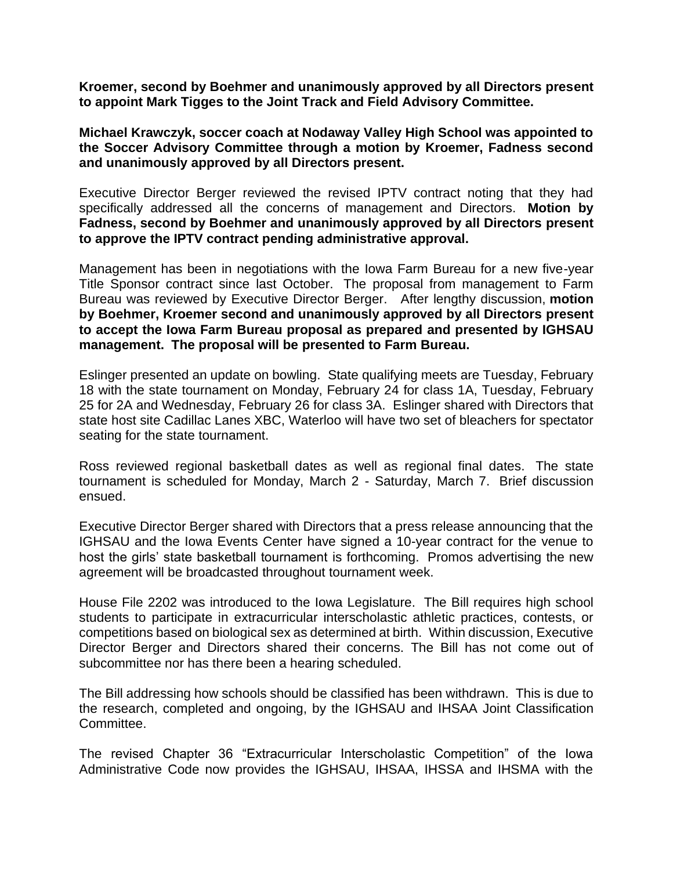**Kroemer, second by Boehmer and unanimously approved by all Directors present to appoint Mark Tigges to the Joint Track and Field Advisory Committee.**

**Michael Krawczyk, soccer coach at Nodaway Valley High School was appointed to the Soccer Advisory Committee through a motion by Kroemer, Fadness second and unanimously approved by all Directors present.**

Executive Director Berger reviewed the revised IPTV contract noting that they had specifically addressed all the concerns of management and Directors. **Motion by Fadness, second by Boehmer and unanimously approved by all Directors present to approve the IPTV contract pending administrative approval.**

Management has been in negotiations with the Iowa Farm Bureau for a new five-year Title Sponsor contract since last October. The proposal from management to Farm Bureau was reviewed by Executive Director Berger. After lengthy discussion, **motion by Boehmer, Kroemer second and unanimously approved by all Directors present to accept the Iowa Farm Bureau proposal as prepared and presented by IGHSAU management. The proposal will be presented to Farm Bureau.** 

Eslinger presented an update on bowling. State qualifying meets are Tuesday, February 18 with the state tournament on Monday, February 24 for class 1A, Tuesday, February 25 for 2A and Wednesday, February 26 for class 3A. Eslinger shared with Directors that state host site Cadillac Lanes XBC, Waterloo will have two set of bleachers for spectator seating for the state tournament.

Ross reviewed regional basketball dates as well as regional final dates. The state tournament is scheduled for Monday, March 2 - Saturday, March 7. Brief discussion ensued.

Executive Director Berger shared with Directors that a press release announcing that the IGHSAU and the Iowa Events Center have signed a 10-year contract for the venue to host the girls' state basketball tournament is forthcoming. Promos advertising the new agreement will be broadcasted throughout tournament week.

House File 2202 was introduced to the Iowa Legislature. The Bill requires high school students to participate in extracurricular interscholastic athletic practices, contests, or competitions based on biological sex as determined at birth. Within discussion, Executive Director Berger and Directors shared their concerns. The Bill has not come out of subcommittee nor has there been a hearing scheduled.

The Bill addressing how schools should be classified has been withdrawn. This is due to the research, completed and ongoing, by the IGHSAU and IHSAA Joint Classification Committee.

The revised Chapter 36 "Extracurricular Interscholastic Competition" of the Iowa Administrative Code now provides the IGHSAU, IHSAA, IHSSA and IHSMA with the